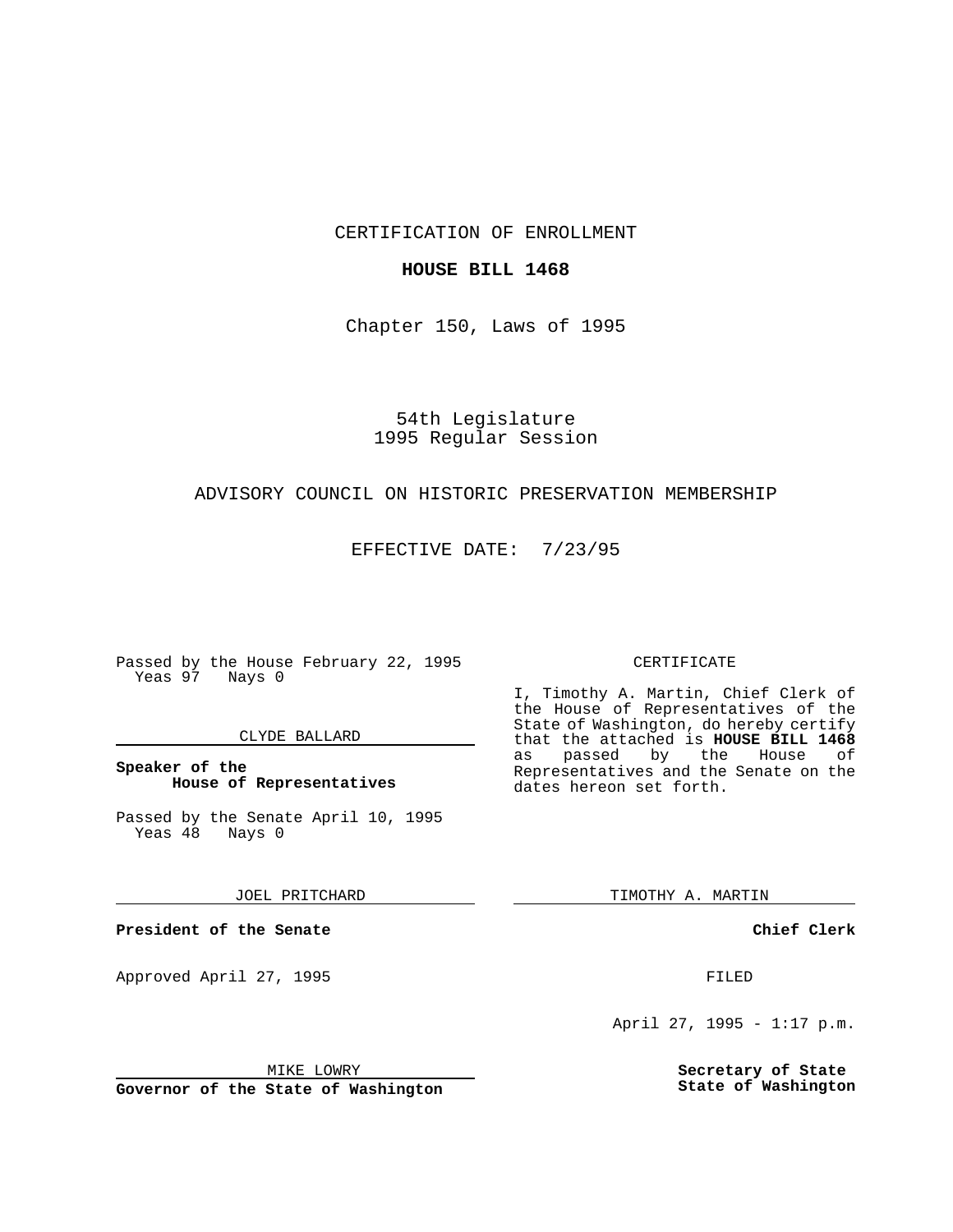CERTIFICATION OF ENROLLMENT

### **HOUSE BILL 1468**

Chapter 150, Laws of 1995

54th Legislature 1995 Regular Session

## ADVISORY COUNCIL ON HISTORIC PRESERVATION MEMBERSHIP

EFFECTIVE DATE: 7/23/95

Passed by the House February 22, 1995 Yeas 97 Nays 0

### CLYDE BALLARD

**Speaker of the House of Representatives**

Passed by the Senate April 10, 1995<br>Yeas 48 Nays 0 Yeas 48

JOEL PRITCHARD

**President of the Senate**

Approved April 27, 1995 FILED

## MIKE LOWRY

**Governor of the State of Washington**

#### CERTIFICATE

I, Timothy A. Martin, Chief Clerk of the House of Representatives of the State of Washington, do hereby certify that the attached is **HOUSE BILL 1468** as passed by the Representatives and the Senate on the dates hereon set forth.

TIMOTHY A. MARTIN

**Chief Clerk**

April 27, 1995 - 1:17 p.m.

**Secretary of State State of Washington**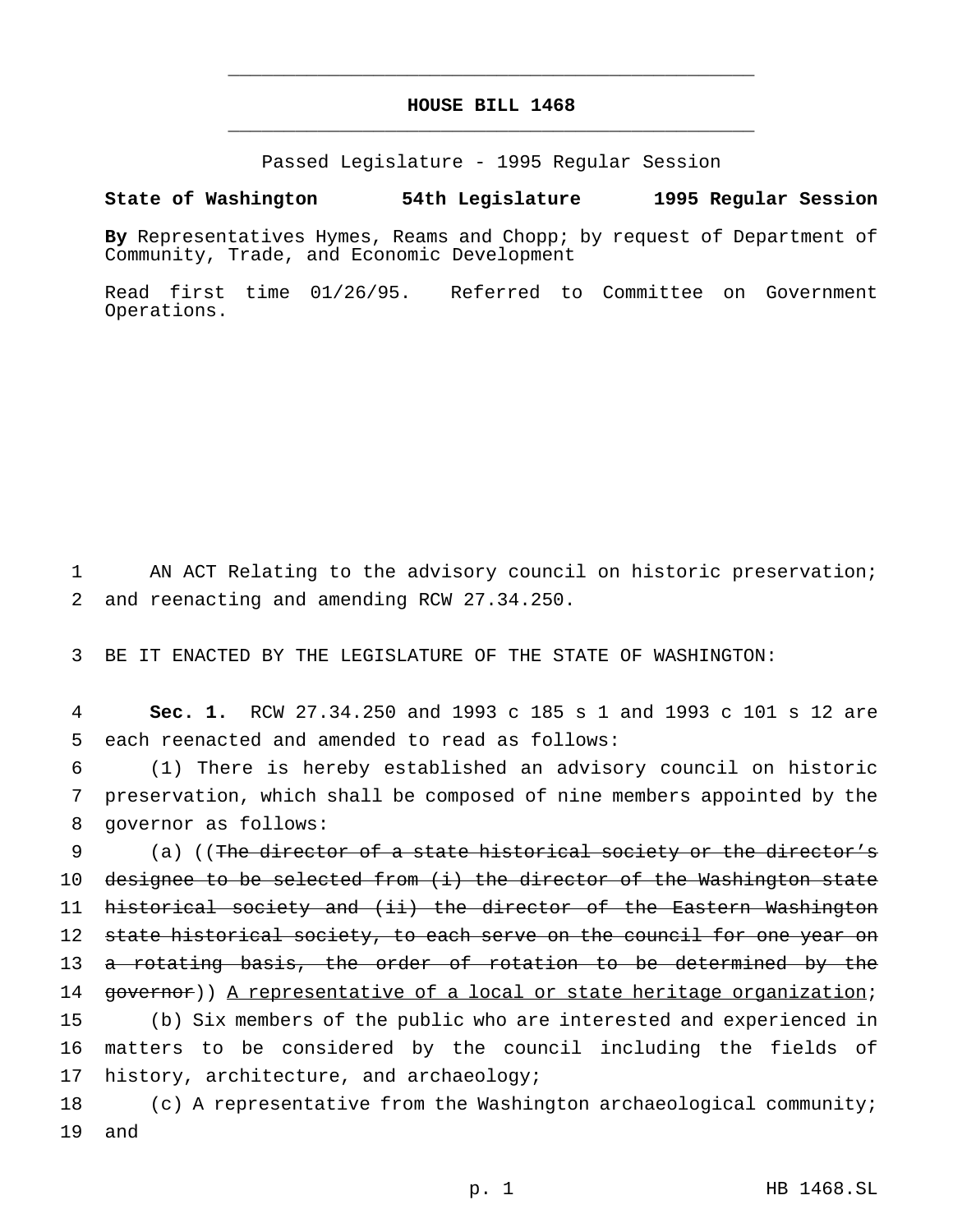# **HOUSE BILL 1468** \_\_\_\_\_\_\_\_\_\_\_\_\_\_\_\_\_\_\_\_\_\_\_\_\_\_\_\_\_\_\_\_\_\_\_\_\_\_\_\_\_\_\_\_\_\_\_

\_\_\_\_\_\_\_\_\_\_\_\_\_\_\_\_\_\_\_\_\_\_\_\_\_\_\_\_\_\_\_\_\_\_\_\_\_\_\_\_\_\_\_\_\_\_\_

Passed Legislature - 1995 Regular Session

#### **State of Washington 54th Legislature 1995 Regular Session**

**By** Representatives Hymes, Reams and Chopp; by request of Department of Community, Trade, and Economic Development

Read first time 01/26/95. Referred to Committee on Government Operations.

1 AN ACT Relating to the advisory council on historic preservation; 2 and reenacting and amending RCW 27.34.250.

3 BE IT ENACTED BY THE LEGISLATURE OF THE STATE OF WASHINGTON:

4 **Sec. 1.** RCW 27.34.250 and 1993 c 185 s 1 and 1993 c 101 s 12 are 5 each reenacted and amended to read as follows:

6 (1) There is hereby established an advisory council on historic 7 preservation, which shall be composed of nine members appointed by the 8 governor as follows:

9 (a) ((The director of a state historical society or the director's 10 designee to be selected from (i) the director of the Washington state 11 historical society and (ii) the director of the Eastern Washington 12 state historical society, to each serve on the council for one year on 13 <del>a rotating basis, the order of rotation to be determined by the</del> 14 governor)) A representative of a local or state heritage organization; 15 (b) Six members of the public who are interested and experienced in 16 matters to be considered by the council including the fields of 17 history, architecture, and archaeology;

18 (c) A representative from the Washington archaeological community; 19 and